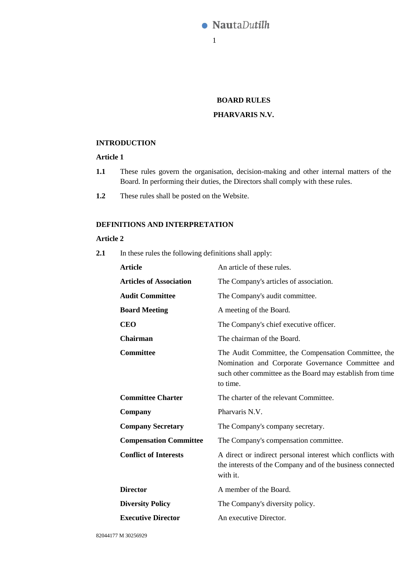

# **BOARD RULES**

### **PHARVARIS N.V.**

## **INTRODUCTION**

# **Article 1**

- **1.1** These rules govern the organisation, decision-making and other internal matters of the Board. In performing their duties, the Directors shall comply with these rules.
- **1.2** These rules shall be posted on the Website.

# **DEFINITIONS AND INTERPRETATION**

#### **Article 2**

**2.1** In these rules the following definitions shall apply:

| <b>Article</b>                 | An article of these rules.                                                                                                                                                         |
|--------------------------------|------------------------------------------------------------------------------------------------------------------------------------------------------------------------------------|
| <b>Articles of Association</b> | The Company's articles of association.                                                                                                                                             |
| <b>Audit Committee</b>         | The Company's audit committee.                                                                                                                                                     |
| <b>Board Meeting</b>           | A meeting of the Board.                                                                                                                                                            |
| <b>CEO</b>                     | The Company's chief executive officer.                                                                                                                                             |
| <b>Chairman</b>                | The chairman of the Board.                                                                                                                                                         |
| <b>Committee</b>               | The Audit Committee, the Compensation Committee, the<br>Nomination and Corporate Governance Committee and<br>such other committee as the Board may establish from time<br>to time. |
| <b>Committee Charter</b>       | The charter of the relevant Committee.                                                                                                                                             |
| Company                        | Pharvaris N.V.                                                                                                                                                                     |
| <b>Company Secretary</b>       | The Company's company secretary.                                                                                                                                                   |
| <b>Compensation Committee</b>  | The Company's compensation committee.                                                                                                                                              |
| <b>Conflict of Interests</b>   | A direct or indirect personal interest which conflicts with<br>the interests of the Company and of the business connected<br>with it.                                              |
| <b>Director</b>                | A member of the Board.                                                                                                                                                             |
| <b>Diversity Policy</b>        | The Company's diversity policy.                                                                                                                                                    |
| <b>Executive Director</b>      | An executive Director.                                                                                                                                                             |
|                                |                                                                                                                                                                                    |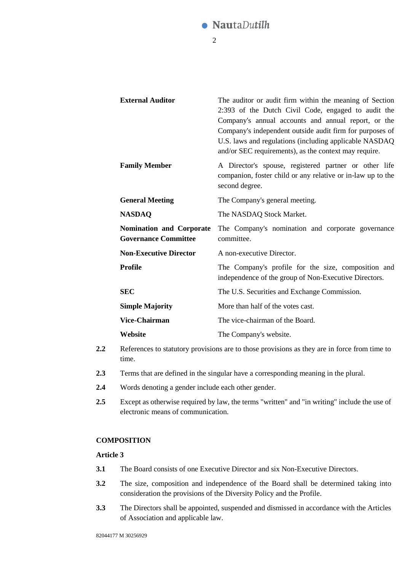

| <b>External Auditor</b>                                        | The auditor or audit firm within the meaning of Section<br>2:393 of the Dutch Civil Code, engaged to audit the<br>Company's annual accounts and annual report, or the<br>Company's independent outside audit firm for purposes of<br>U.S. laws and regulations (including applicable NASDAQ<br>and/or SEC requirements), as the context may require. |
|----------------------------------------------------------------|------------------------------------------------------------------------------------------------------------------------------------------------------------------------------------------------------------------------------------------------------------------------------------------------------------------------------------------------------|
| <b>Family Member</b>                                           | A Director's spouse, registered partner or other life<br>companion, foster child or any relative or in-law up to the<br>second degree.                                                                                                                                                                                                               |
| <b>General Meeting</b>                                         | The Company's general meeting.                                                                                                                                                                                                                                                                                                                       |
| <b>NASDAQ</b>                                                  | The NASDAQ Stock Market.                                                                                                                                                                                                                                                                                                                             |
| <b>Nomination and Corporate</b><br><b>Governance Committee</b> | The Company's nomination and corporate governance<br>committee.                                                                                                                                                                                                                                                                                      |
| <b>Non-Executive Director</b>                                  | A non-executive Director.                                                                                                                                                                                                                                                                                                                            |
| <b>Profile</b>                                                 | The Company's profile for the size, composition and<br>independence of the group of Non-Executive Directors.                                                                                                                                                                                                                                         |
| <b>SEC</b>                                                     | The U.S. Securities and Exchange Commission.                                                                                                                                                                                                                                                                                                         |
| <b>Simple Majority</b>                                         | More than half of the votes cast.                                                                                                                                                                                                                                                                                                                    |
| <b>Vice-Chairman</b>                                           | The vice-chairman of the Board.                                                                                                                                                                                                                                                                                                                      |
| Website                                                        | The Company's website.                                                                                                                                                                                                                                                                                                                               |

- **2.2** References to statutory provisions are to those provisions as they are in force from time to time.
- **2.3** Terms that are defined in the singular have a corresponding meaning in the plural.
- **2.4** Words denoting a gender include each other gender.
- **2.5** Except as otherwise required by law, the terms "written" and "in writing" include the use of electronic means of communication.

### **COMPOSITION**

- **3.1** The Board consists of one Executive Director and six Non-Executive Directors.
- **3.2** The size, composition and independence of the Board shall be determined taking into consideration the provisions of the Diversity Policy and the Profile.
- **3.3** The Directors shall be appointed, suspended and dismissed in accordance with the Articles of Association and applicable law.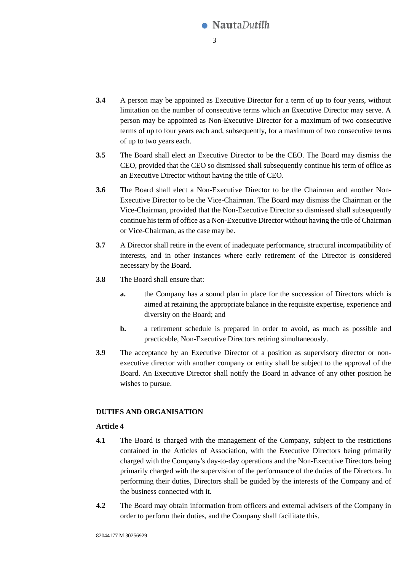

- **3.4** A person may be appointed as Executive Director for a term of up to four years, without limitation on the number of consecutive terms which an Executive Director may serve. A person may be appointed as Non-Executive Director for a maximum of two consecutive terms of up to four years each and, subsequently, for a maximum of two consecutive terms of up to two years each.
- **3.5** The Board shall elect an Executive Director to be the CEO. The Board may dismiss the CEO, provided that the CEO so dismissed shall subsequently continue his term of office as an Executive Director without having the title of CEO.
- **3.6** The Board shall elect a Non-Executive Director to be the Chairman and another Non-Executive Director to be the Vice-Chairman. The Board may dismiss the Chairman or the Vice-Chairman, provided that the Non-Executive Director so dismissed shall subsequently continue his term of office as a Non-Executive Director without having the title of Chairman or Vice-Chairman, as the case may be.
- **3.7** A Director shall retire in the event of inadequate performance, structural incompatibility of interests, and in other instances where early retirement of the Director is considered necessary by the Board.
- **3.8** The Board shall ensure that:
	- **a.** the Company has a sound plan in place for the succession of Directors which is aimed at retaining the appropriate balance in the requisite expertise, experience and diversity on the Board; and
	- **b.** a retirement schedule is prepared in order to avoid, as much as possible and practicable, Non-Executive Directors retiring simultaneously.
- **3.9** The acceptance by an Executive Director of a position as supervisory director or nonexecutive director with another company or entity shall be subject to the approval of the Board. An Executive Director shall notify the Board in advance of any other position he wishes to pursue.

### **DUTIES AND ORGANISATION**

- **4.1** The Board is charged with the management of the Company, subject to the restrictions contained in the Articles of Association, with the Executive Directors being primarily charged with the Company's day-to-day operations and the Non-Executive Directors being primarily charged with the supervision of the performance of the duties of the Directors. In performing their duties, Directors shall be guided by the interests of the Company and of the business connected with it.
- **4.2** The Board may obtain information from officers and external advisers of the Company in order to perform their duties, and the Company shall facilitate this.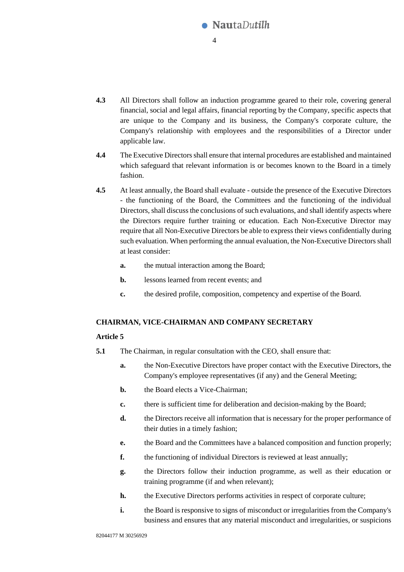

- **4.3** All Directors shall follow an induction programme geared to their role, covering general financial, social and legal affairs, financial reporting by the Company, specific aspects that are unique to the Company and its business, the Company's corporate culture, the Company's relationship with employees and the responsibilities of a Director under applicable law.
- **4.4** The Executive Directors shall ensure that internal procedures are established and maintained which safeguard that relevant information is or becomes known to the Board in a timely fashion.
- **4.5** At least annually, the Board shall evaluate outside the presence of the Executive Directors - the functioning of the Board, the Committees and the functioning of the individual Directors, shall discuss the conclusions of such evaluations, and shall identify aspects where the Directors require further training or education. Each Non-Executive Director may require that all Non-Executive Directors be able to express their views confidentially during such evaluation. When performing the annual evaluation, the Non-Executive Directors shall at least consider:
	- **a.** the mutual interaction among the Board;
	- **b.** lessons learned from recent events; and
	- **c.** the desired profile, composition, competency and expertise of the Board.

### **CHAIRMAN, VICE-CHAIRMAN AND COMPANY SECRETARY**

- **5.1** The Chairman, in regular consultation with the CEO, shall ensure that:
	- **a.** the Non-Executive Directors have proper contact with the Executive Directors, the Company's employee representatives (if any) and the General Meeting;
	- **b.** the Board elects a Vice-Chairman;
	- **c.** there is sufficient time for deliberation and decision-making by the Board;
	- **d.** the Directors receive all information that is necessary for the proper performance of their duties in a timely fashion;
	- **e.** the Board and the Committees have a balanced composition and function properly;
	- **f.** the functioning of individual Directors is reviewed at least annually;
	- **g.** the Directors follow their induction programme, as well as their education or training programme (if and when relevant);
	- **h.** the Executive Directors performs activities in respect of corporate culture;
	- **i.** the Board is responsive to signs of misconduct or irregularities from the Company's business and ensures that any material misconduct and irregularities, or suspicions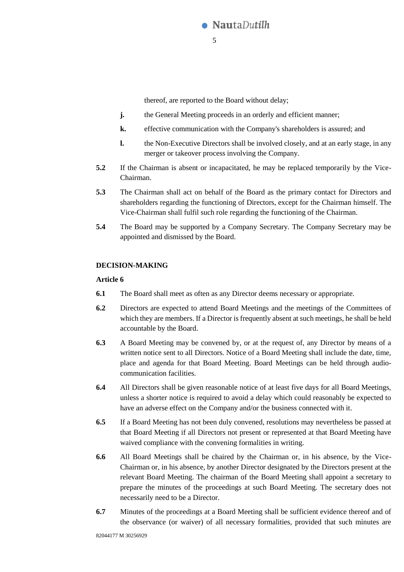

thereof, are reported to the Board without delay;

- **j.** the General Meeting proceeds in an orderly and efficient manner;
- **k.** effective communication with the Company's shareholders is assured; and
- **l.** the Non-Executive Directors shall be involved closely, and at an early stage, in any merger or takeover process involving the Company.
- **5.2** If the Chairman is absent or incapacitated, he may be replaced temporarily by the Vice-Chairman.
- **5.3** The Chairman shall act on behalf of the Board as the primary contact for Directors and shareholders regarding the functioning of Directors, except for the Chairman himself. The Vice-Chairman shall fulfil such role regarding the functioning of the Chairman.
- **5.4** The Board may be supported by a Company Secretary. The Company Secretary may be appointed and dismissed by the Board.

### <span id="page-4-0"></span>**DECISION-MAKING**

- **6.1** The Board shall meet as often as any Director deems necessary or appropriate.
- **6.2** Directors are expected to attend Board Meetings and the meetings of the Committees of which they are members. If a Director is frequently absent at such meetings, he shall be held accountable by the Board.
- **6.3** A Board Meeting may be convened by, or at the request of, any Director by means of a written notice sent to all Directors. Notice of a Board Meeting shall include the date, time, place and agenda for that Board Meeting. Board Meetings can be held through audiocommunication facilities.
- **6.4** All Directors shall be given reasonable notice of at least five days for all Board Meetings, unless a shorter notice is required to avoid a delay which could reasonably be expected to have an adverse effect on the Company and/or the business connected with it.
- **6.5** If a Board Meeting has not been duly convened, resolutions may nevertheless be passed at that Board Meeting if all Directors not present or represented at that Board Meeting have waived compliance with the convening formalities in writing.
- **6.6** All Board Meetings shall be chaired by the Chairman or, in his absence, by the Vice-Chairman or, in his absence, by another Director designated by the Directors present at the relevant Board Meeting. The chairman of the Board Meeting shall appoint a secretary to prepare the minutes of the proceedings at such Board Meeting. The secretary does not necessarily need to be a Director.
- **6.7** Minutes of the proceedings at a Board Meeting shall be sufficient evidence thereof and of the observance (or waiver) of all necessary formalities, provided that such minutes are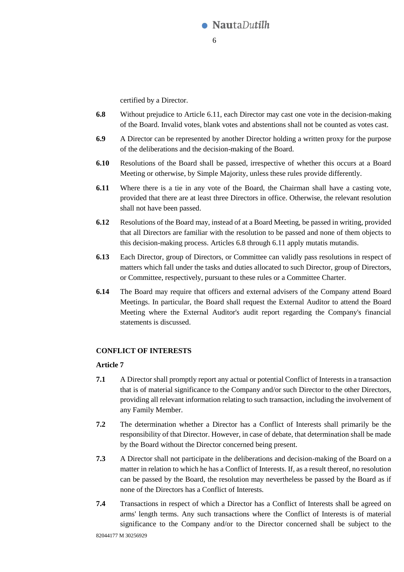

certified by a Director.

- <span id="page-5-1"></span>**6.8** Without prejudice to Article [6.11,](#page-5-0) each Director may cast one vote in the decision-making of the Board. Invalid votes, blank votes and abstentions shall not be counted as votes cast.
- **6.9** A Director can be represented by another Director holding a written proxy for the purpose of the deliberations and the decision-making of the Board.
- **6.10** Resolutions of the Board shall be passed, irrespective of whether this occurs at a Board Meeting or otherwise, by Simple Majority, unless these rules provide differently.
- <span id="page-5-0"></span>**6.11** Where there is a tie in any vote of the Board, the Chairman shall have a casting vote, provided that there are at least three Directors in office. Otherwise, the relevant resolution shall not have been passed.
- **6.12** Resolutions of the Board may, instead of at a Board Meeting, be passed in writing, provided that all Directors are familiar with the resolution to be passed and none of them objects to this decision-making process. Articles [6.8](#page-5-1) through [6.11](#page-5-0) apply mutatis mutandis.
- **6.13** Each Director, group of Directors, or Committee can validly pass resolutions in respect of matters which fall under the tasks and duties allocated to such Director, group of Directors, or Committee, respectively, pursuant to these rules or a Committee Charter.
- **6.14** The Board may require that officers and external advisers of the Company attend Board Meetings. In particular, the Board shall request the External Auditor to attend the Board Meeting where the External Auditor's audit report regarding the Company's financial statements is discussed.

### **CONFLICT OF INTERESTS**

- **7.1** A Director shall promptly report any actual or potential Conflict of Interests in a transaction that is of material significance to the Company and/or such Director to the other Directors, providing all relevant information relating to such transaction, including the involvement of any Family Member.
- **7.2** The determination whether a Director has a Conflict of Interests shall primarily be the responsibility of that Director. However, in case of debate, that determination shall be made by the Board without the Director concerned being present.
- **7.3** A Director shall not participate in the deliberations and decision-making of the Board on a matter in relation to which he has a Conflict of Interests. If, as a result thereof, no resolution can be passed by the Board, the resolution may nevertheless be passed by the Board as if none of the Directors has a Conflict of Interests.
- **7.4** Transactions in respect of which a Director has a Conflict of Interests shall be agreed on arms' length terms. Any such transactions where the Conflict of Interests is of material significance to the Company and/or to the Director concerned shall be subject to the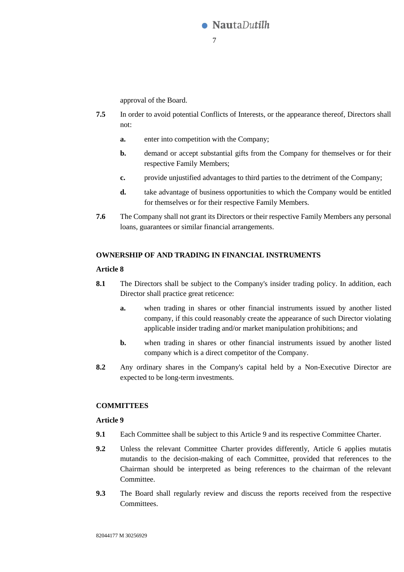

approval of the Board.

- **7.5** In order to avoid potential Conflicts of Interests, or the appearance thereof, Directors shall not:
	- **a.** enter into competition with the Company;
	- **b.** demand or accept substantial gifts from the Company for themselves or for their respective Family Members;
	- **c.** provide unjustified advantages to third parties to the detriment of the Company;
	- **d.** take advantage of business opportunities to which the Company would be entitled for themselves or for their respective Family Members.
- **7.6** The Company shall not grant its Directors or their respective Family Members any personal loans, guarantees or similar financial arrangements.

### **OWNERSHIP OF AND TRADING IN FINANCIAL INSTRUMENTS**

### **Article 8**

- **8.1** The Directors shall be subject to the Company's insider trading policy. In addition, each Director shall practice great reticence:
	- **a.** when trading in shares or other financial instruments issued by another listed company, if this could reasonably create the appearance of such Director violating applicable insider trading and/or market manipulation prohibitions; and
	- **b.** when trading in shares or other financial instruments issued by another listed company which is a direct competitor of the Company.
- **8.2** Any ordinary shares in the Company's capital held by a Non-Executive Director are expected to be long-term investments.

## <span id="page-6-0"></span>**COMMITTEES**

- **9.1** Each Committee shall be subject to this [Article 9](#page-6-0) and its respective Committee Charter.
- **9.2** Unless the relevant Committee Charter provides differently, [Article 6](#page-4-0) applies mutatis mutandis to the decision-making of each Committee, provided that references to the Chairman should be interpreted as being references to the chairman of the relevant Committee.
- **9.3** The Board shall regularly review and discuss the reports received from the respective Committees.